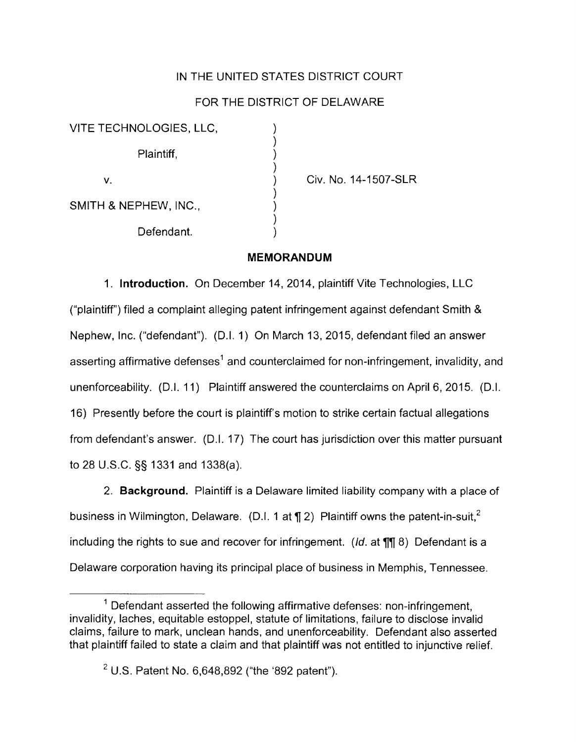## IN THE UNITED STATES DISTRICT COURT

## FOR THE DISTRICT OF DELAWARE

) ) ) ) ) ) ) ) )

| VITE TECHNOLOGIES, LLC, |  |
|-------------------------|--|
| Plaintiff,              |  |
| v.                      |  |
| SMITH & NEPHEW, INC.,   |  |
| Defendant.              |  |

Civ. No. 14-1507-SLR

#### **MEMORANDUM**

1. **Introduction.** On December 14, 2014, plaintiff Vite Technologies, LLC ("plaintiff") filed a complaint alleging patent infringement against defendant Smith & Nephew, Inc. ("defendant"). (D.I. 1) On March 13, 2015, defendant filed an answer asserting affirmative defenses<sup>1</sup> and counterclaimed for non-infringement, invalidity, and unenforceability. (D.I. 11) Plaintiff answered the counterclaims on April 6, 2015. (D.I. 16) Presently before the court is plaintiff's motion to strike certain factual allegations from defendant's answer. (D.I. 17) The court has jurisdiction over this matter pursuant to 28 U.S.C. §§ 1331 and 1338(a).

2. **Background.** Plaintiff is a Delaware limited liability company with a place of business in Wilmington, Delaware. (D.I. 1 at  $\P$  2) Plaintiff owns the patent-in-suit.<sup>2</sup> including the rights to sue and recover for infringement. (Id. at  $\P\parallel$  8) Defendant is a Delaware corporation having its principal place of business in Memphis, Tennessee.

 $1$  Defendant asserted the following affirmative defenses: non-infringement, invalidity, laches, equitable estoppal, statute of limitations, failure to disclose invalid claims, failure to mark, unclean hands, and unenforceability. Defendant also asserted that plaintiff failed to state a claim and that plaintiff was not entitled to injunctive relief.

 $2$  U.S. Patent No. 6,648,892 ("the '892 patent").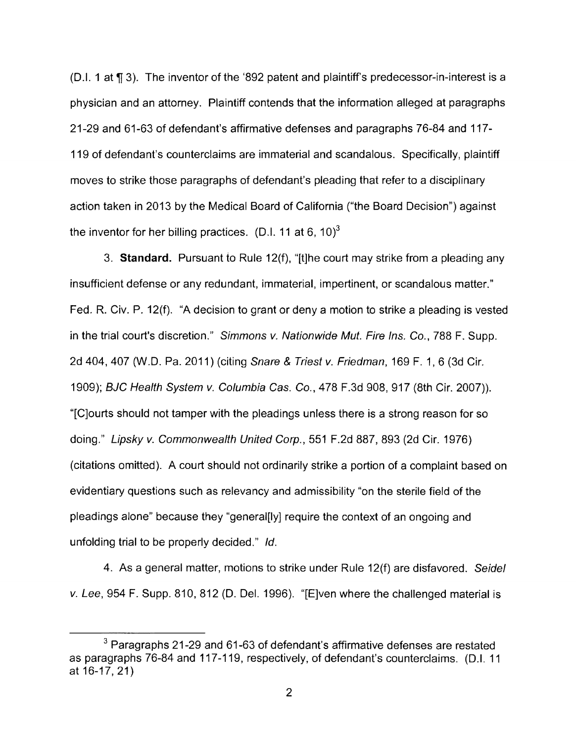(D.I. 1 at 1f 3). The inventor of the '892 patent and plaintiff's predecessor-in-interest is a physician and an attorney. Plaintiff contends that the information alleged at paragraphs 21-29 and 61-63 of defendant's affirmative defenses and paragraphs 76-84 and 117- 119 of defendant's counterclaims are immaterial and scandalous. Specifically, plaintiff moves to strike those paragraphs of defendant's pleading that refer to a disciplinary action taken in 2013 by the Medical Board of California ("the Board Decision") against the inventor for her billing practices. (D.I. 11 at 6, 10)<sup>3</sup>

3. **Standard.** Pursuant to Rule 12(f), "[t]he court may strike from a pleading any insufficient defense or any redundant, immaterial, impertinent, or scandalous matter." Fed. R. Civ. P. 12(f). "A decision to grant or deny a motion to strike a pleading is vested in the trial court's discretion." Simmons v. Nationwide Mut. Fire Ins. Co., 788 F. Supp. 2d 404, 407 (W.D. Pa. 2011) (citing Snare & Triest v. Friedman, 169 F. 1, 6 (3d Cir. 1909); BJC Health System *v.* Columbia Gas. Co., 478 F.3d 908, 917 (8th Cir. 2007)). "[C]ourts should not tamper with the pleadings unless there is a strong reason for so doing." Lipsky v. Commonwealth United Corp., 551 F.2d 887, 893 (2d Cir. 1976) (citations omitted). A court should not ordinarily strike a portion of a complaint based on evidentiary questions such as relevancy and admissibility "on the sterile field of the pleadings alone" because they "general[ly] require the context of an ongoing and unfolding trial to be properly decided." Id.

4. As a general matter, motions to strike under Rule 12(f) are disfavored. Seidel *v.* Lee, 954 F. Supp. 810, 812 (D. Del. 1996). "[E]ven where the challenged material is

 $3$  Paragraphs 21-29 and 61-63 of defendant's affirmative defenses are restated as paragraphs 76-84 and 117-119, respectively, of defendant's counterclaims. (D.I. 11 at 16-17, 21 )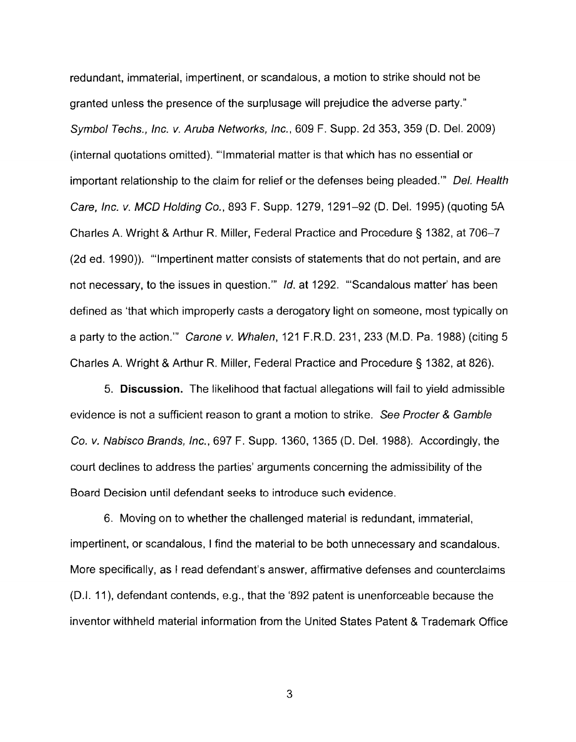redundant, immaterial, impertinent, or scandalous, a motion to strike should not be granted unless the presence of the surplusage will prejudice the adverse party." Symbol Techs., Inc. v. Aruba Networks, Inc., 609 F. Supp. 2d 353, 359 (D. Del. 2009) (internal quotations omitted). '"Immaterial matter is that which has no essential or important relationship to the claim for relief or the defenses being pleaded."" Del. Health Care, Inc. *v.* MCD Holding Co., 893 F. Supp. 1279, 1291-92 (D. Del. 1995) (quoting 5A Charles A. Wright & Arthur R. Miller, Federal Practice and Procedure§ 1382, at 706-7 (2d ed. 1990)). '"Impertinent matter consists of statements that do not pertain, and are not necessary, to the issues in question."" Id. at 1292. "'Scandalous matter' has been defined as 'that which improperly casts a derogatory light on someone, most typically on a party to the action."' Carone v. Whalen, 121 F.R.D. 231, 233 (M.D. Pa. 1988) (citing 5 Charles A. Wright & Arthur R. Miller, Federal Practice and Procedure§ 1382, at 826).

5. **Discussion.** The likelihood that factual allegations will fail to yield admissible evidence is not a sufficient reason to grant a motion to strike. See Procter & Gamble Co. v. Nabisco Brands, Inc., 697 F. Supp. 1360, 1365 (D. Del. 1988). Accordingly, the court declines to address the parties' arguments concerning the admissibility of the Board Decision until defendant seeks to introduce such evidence.

6. Moving on to whether the challenged material is redundant, immaterial, impertinent, or scandalous, I find the material to be both unnecessary and scandalous. More specifically, as I read defendant's answer, affirmative defenses and counterclaims (D.I. 11 ), defendant contends, e.g., that the '892 patent is unenforceable because the inventor withheld material information from the United States Patent & Trademark Office

3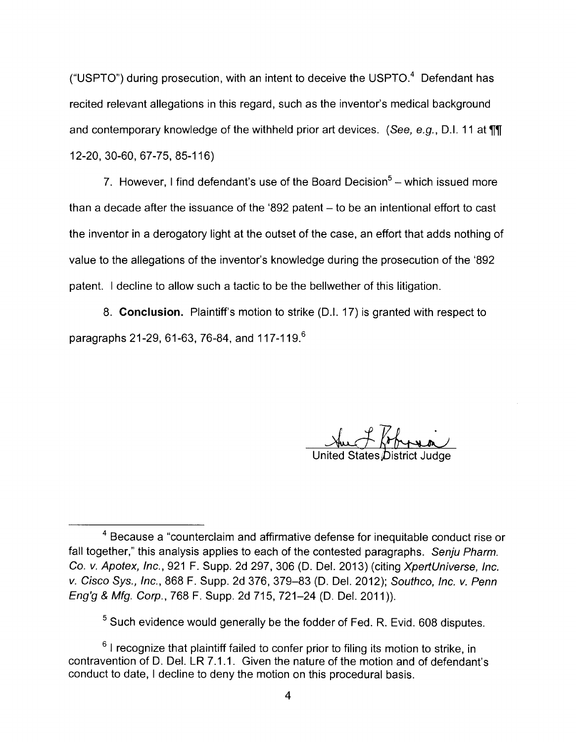("USPTO") during prosecution, with an intent to deceive the USPTO. $4$  Defendant has recited relevant allegations in this regard, such as the inventor's medical background and contemporary knowledge of the withheld prior art devices. (See, e.g., D.I. 11 at  $\P$ , 12-20, 30-60, 67-75, 85-116)

7. However, I find defendant's use of the Board Decision<sup>5</sup>  $-$  which issued more than a decade after the issuance of the '892 patent  $-$  to be an intentional effort to cast the inventor in a derogatory light at the outset of the case, an effort that adds nothing of value to the allegations of the inventor's knowledge during the prosecution of the '892 patent. I decline to allow such a tactic to be the bellwether of this litigation.

8. **Conclusion.** Plaintiff's motion to strike (D.I. 17) is granted with respect to paragraphs 21-29, 61-63, 76-84, and 117-119.<sup>6</sup>

United States District Judge

 $5$  Such evidence would generally be the fodder of Fed. R. Evid. 608 disputes.

 $6$  I recognize that plaintiff failed to confer prior to filing its motion to strike, in contravention of D. Del. LR 7.1.1. Given the nature of the motion and of defendant's conduct to date, I decline to deny the motion on this procedural basis.

<sup>4</sup>Because a "counterclaim and affirmative defense for inequitable conduct rise or fall together," this analysis applies to each of the contested paragraphs. Senju Pharm. Co. v. Apotex, Inc., 921 F. Supp. 2d 297, 306 (D. Del. 2013) (citing XpertUniverse, Inc. v. Cisco Sys., Inc., 868 F. Supp. 2d 376, 379-83 (D. Del. 2012); Southco, Inc. v. Penn Eng'g & Mfg. Corp., 768 F. Supp. 2d 715, 721-24 (D. Del. 2011 )).